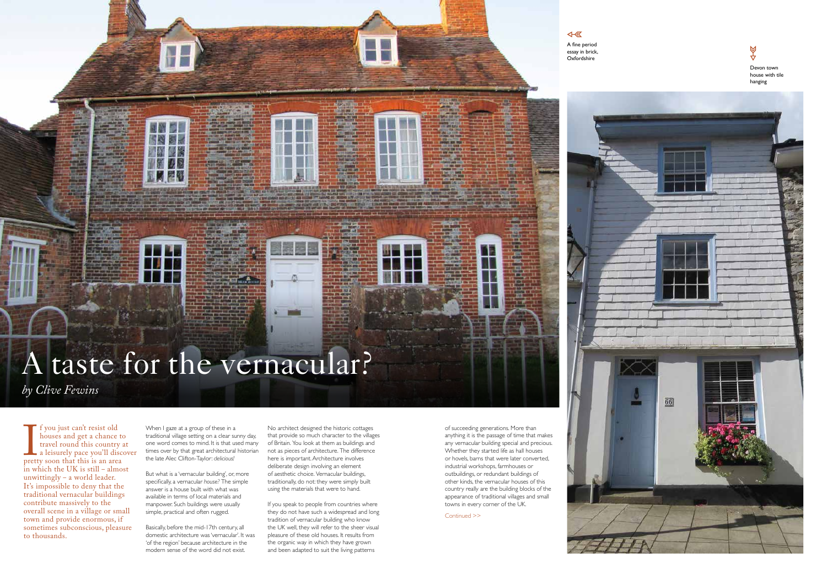$\overline{\text{A}}$ A fine period essay in brick, Oxfordshire









# A taste for the vernacular?

*by Clive Fewins*

**I**<br>prett<br>in w f you just can't resist old houses and get a chance to travel round this country at a leisurely pace you'll discover pretty soon that this is an area in which the UK is still – almost unwittingly – a world leader. It's impossible to deny that the traditional vernacular buildings contribute massively to the overall scene in a village or small town and provide enormous, if sometimes subconscious, pleasure to thousands.

When I gaze at a group of these in a traditional village setting on a clear sunny day, one word comes to mind. It is that used many times over by that great architectural historian the late Alec Clifton-Taylor: *delicious!*

But what is a 'vernacular building', or, more specifically, a vernacular *house?* The simple answer is a house built with what was available in terms of local materials and manpower. Such buildings were usually simple, practical and often rugged.

If you speak to people from countries where they do not have such a widespread and long tradition of vernacular building who know the UK well, they will refer to the sheer visual pleasure of these old houses. It results from the organic way in which they have grown and been adapted to suit the living patterns

Basically, before the mid-17th century, all domestic architecture was 'vernacular'. It was 'of the region' because architecture in the modern sense of the word did not exist.

Continued >>





No architect designed the historic cottages that provide so much character to the villages of Britain. You look at them as buildings and not as pieces of architecture. The difference here is important. Architecture involves deliberate design involving an element of aesthetic choice. Vernacular buildings, traditionally, do not: they were simply built using the materials that were to hand.

of succeeding generations. More than anything it is the passage of time that makes any vernacular building special and precious. Whether they started life as hall houses or hovels, barns that were later converted, industrial workshops, farmhouses or outbuildings, or redundant buildings of other kinds, the vernacular houses of this country really are the building blocks of the appearance of traditional villages and small towns in every corner of the UK.

Devon town house with tile hanging

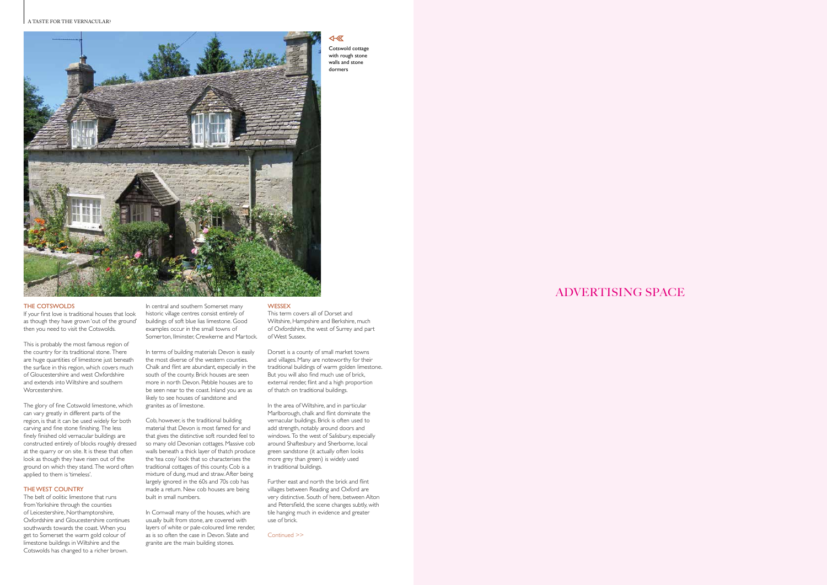ADVERTISING SPACE

#### THE COTSWOLDS

If your first love is traditional houses that look as though they have grown 'out of the ground' then you need to visit the Cotswolds.

This is probably the most famous region of the country for its traditional stone. There are huge quantities of limestone just beneath the surface in this region, which covers much of Gloucestershire and west Oxfordshire and extends into Wiltshire and southern Worcestershire.

#### In central and southern Somerset many historic village centres consist entirely of **WESSEX**

The glory of fine Cotswold limestone, which can vary greatly in different parts of the region, is that it can be used widely for both carving and fine stone finishing. The less finely finished old vernacular buildings are constructed entirely of blocks roughly dressed at the quarry or on site. It is these that often look as though they have risen out of the ground on which they stand. The word often applied to them is 'timeless'.

In terms of building materials Devon is easily the most diverse of the western counties. Chalk and flint are abundant, especially in the south of the county. Brick houses are seen more in north Devon. Pebble houses are to be seen near to the coast. Inland you are as likely to see houses of sandstone and

#### THE WEST COUNTRY

The belt of oolitic limestone that runs from Yorkshire through the counties of Leicestershire, Northamptonshire, Oxfordshire and Gloucestershire continues southwards towards the coast. When you get to Somerset the warm gold colour of limestone buildings in Wiltshire and the Cotswolds has changed to a richer brown.

In Cornwall many of the houses, which are usually built from stone, are covered with layers of white or pale-coloured lime render, as is so often the case in Devon. Slate and granite are the main building stones.

#### A TASTE FOR THE VERNACULAR?



buildings of soft blue lias limestone. Good examples occur in the small towns of

granites as of limestone.

Cob, however, is the traditional building material that Devon is most famed for and that gives the distinctive soft rounded feel to so many old Devonian cottages. Massive cob walls beneath a thick layer of thatch produce the 'tea cosy' look that so characterises the traditional cottages of this county. Cob is a mixture of dung, mud and straw. After being largely ignored in the 60s and 70s cob has made a return. New cob houses are being

Somerton, Ilminster, Crewkerne and Martock. This term covers all of Dorset and Wiltshire, Hampshire and Berkshire, much of Oxfordshire, the west of Surrey and part of West Sussex.

built in small numbers.

Dorset is a county of small market towns and villages. Many are noteworthy for their traditional buildings of warm golden limestone. But you will also find much use of brick, external render, flint and a high proportion of thatch on traditional buildings.

In the area of Wiltshire, and in particular Marlborough, chalk and flint dominate the vernacular buildings. Brick is often used to add strength, notably around doors and windows. To the west of Salisbury, especially around Shaftesbury and Sherborne, local green sandstone (it actually often looks more grey than green) is widely used in traditional buildings.

Further east and north the brick and flint villages between Reading and Oxford are very distinctive. South of here, between Alton and Petersfield, the scene changes subtly, with tile hanging much in evidence and greater use of brick.

Cotswold cottage with rough stone walls and stone dormers

 $\overline{4}$ 

Continued >>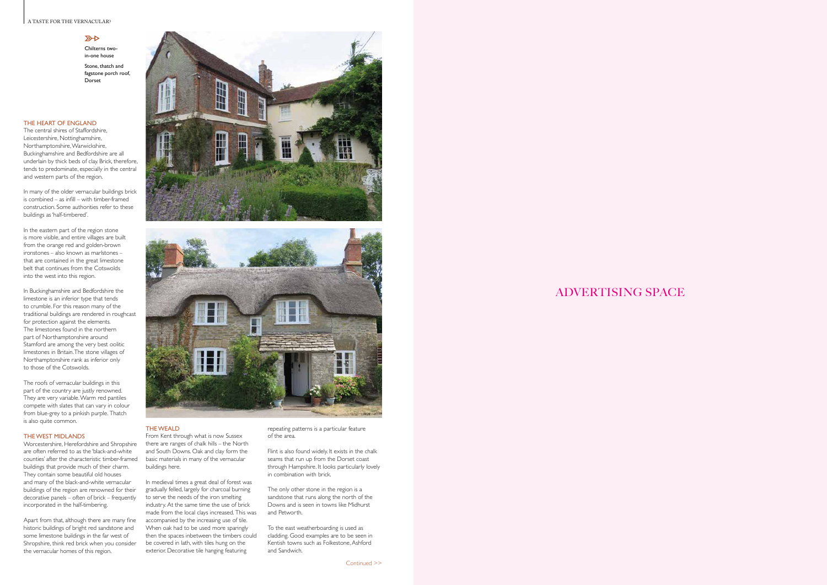#### A TASTE FOR THE VERNACULAR? **A HYMN TO THE ARTS & CRAFTS MOVEMENT**

#### $\mathbb{Z}$

# ADVERTISING SPACE

#### THE HEART OF ENGLAND

The central shires of Staffordshire, Leicestershire, Nottinghamshire, Northamptonshire, Warwickshire, Buckinghamshire and Bedfordshire are all underlain by thick beds of clay. Brick, therefore, tends to predominate, especially in the central and western parts of the region.

In many of the older vernacular buildings brick is combined – as infill – with timber-framed construction. Some authorities refer to these buildings as 'half-timbered'.

In the eastern part of the region stone is more visible, and entire villages are built from the orange red and golden-brown ironstones – also known as marlstones – that are contained in the great limestone belt that continues from the Cotswolds into the west into this region.

In Buckinghamshire and Bedfordshire the limestone is an inferior type that tends to crumble. For this reason many of the traditional buildings are rendered in roughcast for protection against the elements. The limestones found in the northern part of Northamptonshire around Stamford are among the very best oolitic limestones in Britain. The stone villages of Northamptonshire rank as inferior only to those of the Cotswolds.

The roofs of vernacular buildings in this part of the country are justly renowned. They are very variable. Warm red pantiles compete with slates that can vary in colour from blue-grey to a pinkish purple. Thatch is also quite common.

#### THE WEST MIDLANDS

- Chilterns twoin-one house
- Stone, thatch and fagstone porch roof, **Dorset**

Worcestershire, Herefordshire and Shropshire are often referred to as the 'black-and-white counties' after the characteristic timber-framed buildings that provide much of their charm. They contain some beautiful old houses and many of the black-and-white vernacular buildings of the region are renowned for their decorative panels – often of brick – frequently incorporated in the half-timbering.

Apart from that, although there are many fine historic buildings of bright red sandstone and some limestone buildings in the far west of Shropshire, think red brick when you consider the vernacular homes of this region.





### THE WEALD

From Kent through what is now Sussex there are ranges of chalk hills – the North and South Downs. Oak and clay form the basic materials in many of the vernacular buildings here.

In medieval times a great deal of forest was gradually felled, largely for charcoal burning to serve the needs of the iron smelting industry. At the same time the use of brick made from the local clays increased. This was accompanied by the increasing use of tile. When oak had to be used more sparingly then the spaces inbetween the timbers could be covered in lath, with tiles hung on the exterior. Decorative tile hanging featuring

repeating patterns is a particular feature of the area.

Flint is also found widely. It exists in the chalk seams that run up from the Dorset coast through Hampshire. It looks particularly lovely in combination with brick.

The only other stone in the region is a sandstone that runs along the north of the Downs and is seen in towns like Midhurst and Petworth.

To the east weatherboarding is used as cladding. Good examples are to be seen in Kentish towns such as Folkestone, Ashford and Sandwich.